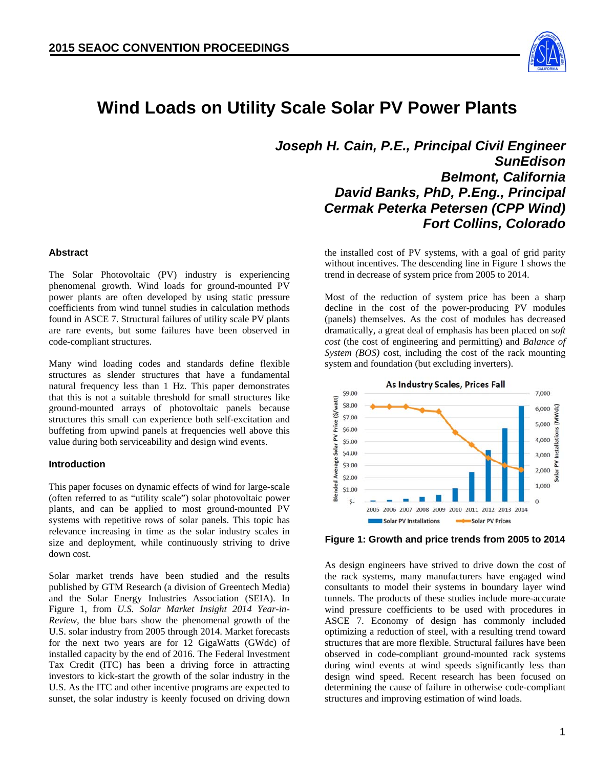

# **Wind Loads on Utility Scale Solar PV Power Plants**

*Joseph H. Cain, P.E., Principal Civil Engineer SunEdison Belmont, California David Banks, PhD, P.Eng., Principal Cermak Peterka Petersen (CPP Wind) Fort Collins, Colorado*

trend in decrease of system price from 2005 to 2014.

the installed cost of PV systems, with a goal of grid parity without incentives. The descending line in Figure 1 shows the

> Most of the reduction of system price has been a sharp decline in the cost of the power-producing PV modules (panels) themselves. As the cost of modules has decreased dramatically, a great deal of emphasis has been placed on *soft cost* (the cost of engineering and permitting) and *Balance of System (BOS)* cost, including the cost of the rack mounting system and foundation (but excluding inverters).



**Figure 1: Growth and price trends from 2005 to 2014** 

As design engineers have strived to drive down the cost of the rack systems, many manufacturers have engaged wind consultants to model their systems in boundary layer wind tunnels. The products of these studies include more-accurate wind pressure coefficients to be used with procedures in ASCE 7. Economy of design has commonly included optimizing a reduction of steel, with a resulting trend toward structures that are more flexible. Structural failures have been observed in code-compliant ground-mounted rack systems during wind events at wind speeds significantly less than design wind speed. Recent research has been focused on determining the cause of failure in otherwise code-compliant structures and improving estimation of wind loads.

#### **Abstract**

The Solar Photovoltaic (PV) industry is experiencing phenomenal growth. Wind loads for ground-mounted PV power plants are often developed by using static pressure coefficients from wind tunnel studies in calculation methods found in ASCE 7. Structural failures of utility scale PV plants are rare events, but some failures have been observed in code-compliant structures.

Many wind loading codes and standards define flexible structures as slender structures that have a fundamental natural frequency less than 1 Hz. This paper demonstrates that this is not a suitable threshold for small structures like ground-mounted arrays of photovoltaic panels because structures this small can experience both self-excitation and buffeting from upwind panels at frequencies well above this value during both serviceability and design wind events.

#### **Introduction**

This paper focuses on dynamic effects of wind for large-scale (often referred to as "utility scale") solar photovoltaic power plants, and can be applied to most ground-mounted PV systems with repetitive rows of solar panels. This topic has relevance increasing in time as the solar industry scales in size and deployment, while continuously striving to drive down cost.

Solar market trends have been studied and the results published by GTM Research (a division of Greentech Media) and the Solar Energy Industries Association (SEIA). In Figure 1, from *U.S. Solar Market Insight 2014 Year-in-Review,* the blue bars show the phenomenal growth of the U.S. solar industry from 2005 through 2014. Market forecasts for the next two years are for 12 GigaWatts (GWdc) of installed capacity by the end of 2016. The Federal Investment Tax Credit (ITC) has been a driving force in attracting investors to kick-start the growth of the solar industry in the U.S. As the ITC and other incentive programs are expected to sunset, the solar industry is keenly focused on driving down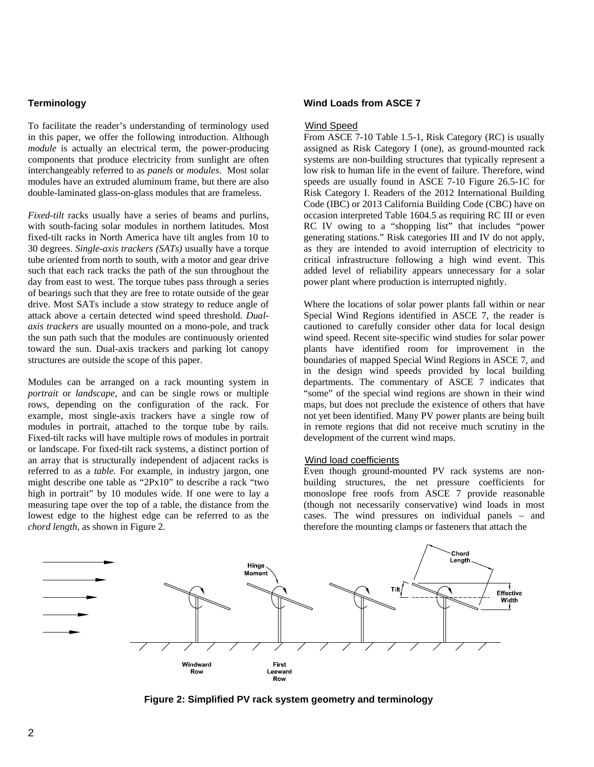# **Terminology**

To facilitate the reader's understanding of terminology used in this paper, we offer the following introduction. Although *module* is actually an electrical term, the power-producing components that produce electricity from sunlight are often interchangeably referred to as *panels* or *modules*. Most solar modules have an extruded aluminum frame, but there are also double-laminated glass-on-glass modules that are frameless.

*Fixed-tilt* racks usually have a series of beams and purlins, with south-facing solar modules in northern latitudes. Most fixed-tilt racks in North America have tilt angles from 10 to 30 degrees. *Single-axis trackers (SATs)* usually have a torque tube oriented from north to south, with a motor and gear drive such that each rack tracks the path of the sun throughout the day from east to west. The torque tubes pass through a series of bearings such that they are free to rotate outside of the gear drive. Most SATs include a stow strategy to reduce angle of attack above a certain detected wind speed threshold. *Dualaxis trackers* are usually mounted on a mono-pole, and track the sun path such that the modules are continuously oriented toward the sun. Dual-axis trackers and parking lot canopy structures are outside the scope of this paper.

Modules can be arranged on a rack mounting system in *portrait* or *landscape,* and can be single rows or multiple rows, depending on the configuration of the rack. For example, most single-axis trackers have a single row of modules in portrait, attached to the torque tube by rails. Fixed-tilt racks will have multiple rows of modules in portrait or landscape. For fixed-tilt rack systems, a distinct portion of an array that is structurally independent of adjacent racks is referred to as a *table.* For example, in industry jargon, one might describe one table as "2Px10" to describe a rack "two high in portrait" by 10 modules wide. If one were to lay a measuring tape over the top of a table, the distance from the lowest edge to the highest edge can be referred to as the *chord length,* as shown in Figure 2.

### **Wind Loads from ASCE 7**

#### Wind Speed

From ASCE 7-10 Table 1.5-1, Risk Category (RC) is usually assigned as Risk Category I (one), as ground-mounted rack systems are non-building structures that typically represent a low risk to human life in the event of failure. Therefore, wind speeds are usually found in ASCE 7-10 Figure 26.5-1C for Risk Category I. Readers of the 2012 International Building Code (IBC) or 2013 California Building Code (CBC) have on occasion interpreted Table 1604.5 as requiring RC III or even RC IV owing to a "shopping list" that includes "power generating stations." Risk categories III and IV do not apply, as they are intended to avoid interruption of electricity to critical infrastructure following a high wind event. This added level of reliability appears unnecessary for a solar power plant where production is interrupted nightly.

Where the locations of solar power plants fall within or near Special Wind Regions identified in ASCE 7, the reader is cautioned to carefully consider other data for local design wind speed. Recent site-specific wind studies for solar power plants have identified room for improvement in the boundaries of mapped Special Wind Regions in ASCE 7, and in the design wind speeds provided by local building departments. The commentary of ASCE 7 indicates that "some" of the special wind regions are shown in their wind maps, but does not preclude the existence of others that have not yet been identified. Many PV power plants are being built in remote regions that did not receive much scrutiny in the development of the current wind maps.

#### Wind load coefficients

Even though ground-mounted PV rack systems are nonbuilding structures, the net pressure coefficients for monoslope free roofs from ASCE 7 provide reasonable (though not necessarily conservative) wind loads in most cases. The wind pressures on individual panels – and therefore the mounting clamps or fasteners that attach the



**Figure 2: Simplified PV rack system geometry and terminology**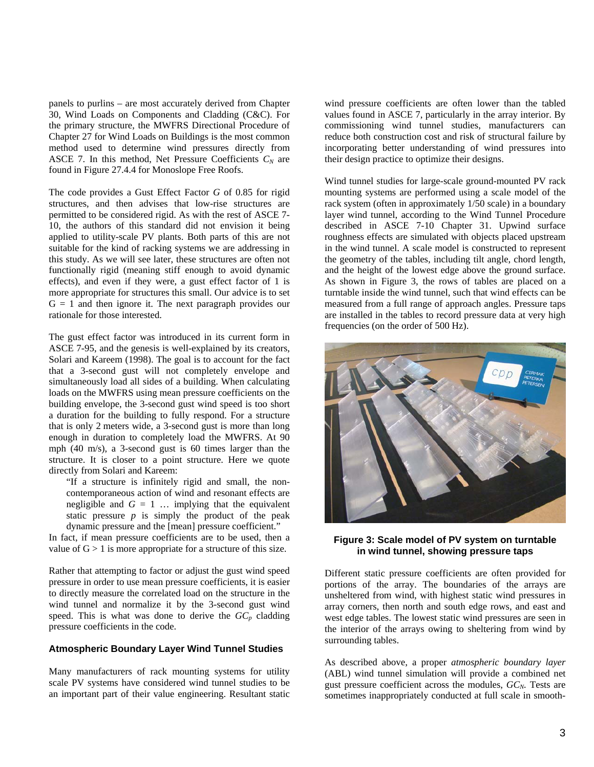panels to purlins – are most accurately derived from Chapter 30, Wind Loads on Components and Cladding (C&C). For the primary structure, the MWFRS Directional Procedure of Chapter 27 for Wind Loads on Buildings is the most common method used to determine wind pressures directly from ASCE 7. In this method, Net Pressure Coefficients  $C_N$  are found in Figure 27.4.4 for Monoslope Free Roofs.

The code provides a Gust Effect Factor *G* of 0.85 for rigid structures, and then advises that low-rise structures are permitted to be considered rigid. As with the rest of ASCE 7- 10, the authors of this standard did not envision it being applied to utility-scale PV plants. Both parts of this are not suitable for the kind of racking systems we are addressing in this study. As we will see later, these structures are often not functionally rigid (meaning stiff enough to avoid dynamic effects), and even if they were, a gust effect factor of 1 is more appropriate for structures this small. Our advice is to set  $G = 1$  and then ignore it. The next paragraph provides our rationale for those interested.

The gust effect factor was introduced in its current form in ASCE 7-95, and the genesis is well-explained by its creators, Solari and Kareem (1998). The goal is to account for the fact that a 3-second gust will not completely envelope and simultaneously load all sides of a building. When calculating loads on the MWFRS using mean pressure coefficients on the building envelope, the 3-second gust wind speed is too short a duration for the building to fully respond. For a structure that is only 2 meters wide, a 3-second gust is more than long enough in duration to completely load the MWFRS. At 90 mph (40 m/s), a 3-second gust is 60 times larger than the structure. It is closer to a point structure. Here we quote directly from Solari and Kareem:

"If a structure is infinitely rigid and small, the noncontemporaneous action of wind and resonant effects are negligible and  $G = 1$  ... implying that the equivalent static pressure  $p$  is simply the product of the peak dynamic pressure and the [mean] pressure coefficient."

In fact, if mean pressure coefficients are to be used, then a value of  $G > 1$  is more appropriate for a structure of this size.

Rather that attempting to factor or adjust the gust wind speed pressure in order to use mean pressure coefficients, it is easier to directly measure the correlated load on the structure in the wind tunnel and normalize it by the 3-second gust wind speed. This is what was done to derive the  $GC_p$  cladding pressure coefficients in the code.

#### **Atmospheric Boundary Layer Wind Tunnel Studies**

Many manufacturers of rack mounting systems for utility scale PV systems have considered wind tunnel studies to be an important part of their value engineering. Resultant static wind pressure coefficients are often lower than the tabled values found in ASCE 7, particularly in the array interior. By commissioning wind tunnel studies, manufacturers can reduce both construction cost and risk of structural failure by incorporating better understanding of wind pressures into their design practice to optimize their designs.

Wind tunnel studies for large-scale ground-mounted PV rack mounting systems are performed using a scale model of the rack system (often in approximately 1/50 scale) in a boundary layer wind tunnel, according to the Wind Tunnel Procedure described in ASCE 7-10 Chapter 31. Upwind surface roughness effects are simulated with objects placed upstream in the wind tunnel. A scale model is constructed to represent the geometry of the tables, including tilt angle, chord length, and the height of the lowest edge above the ground surface. As shown in Figure 3, the rows of tables are placed on a turntable inside the wind tunnel, such that wind effects can be measured from a full range of approach angles. Pressure taps are installed in the tables to record pressure data at very high frequencies (on the order of 500 Hz).



**Figure 3: Scale model of PV system on turntable in wind tunnel, showing pressure taps** 

Different static pressure coefficients are often provided for portions of the array. The boundaries of the arrays are unsheltered from wind, with highest static wind pressures in array corners, then north and south edge rows, and east and west edge tables. The lowest static wind pressures are seen in the interior of the arrays owing to sheltering from wind by surrounding tables.

As described above, a proper *atmospheric boundary layer* (ABL) wind tunnel simulation will provide a combined net gust pressure coefficient across the modules, *GC<sub>N</sub>*. Tests are sometimes inappropriately conducted at full scale in smooth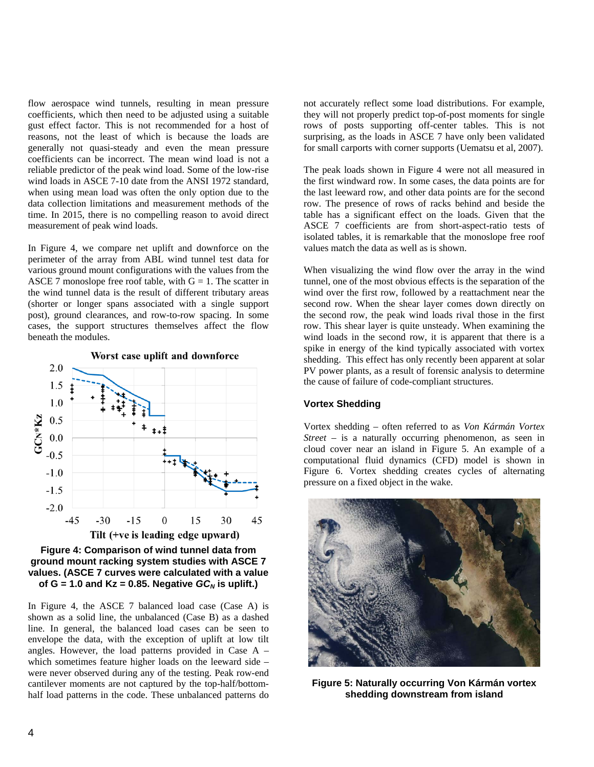flow aerospace wind tunnels, resulting in mean pressure coefficients, which then need to be adjusted using a suitable gust effect factor. This is not recommended for a host of reasons, not the least of which is because the loads are generally not quasi-steady and even the mean pressure coefficients can be incorrect. The mean wind load is not a reliable predictor of the peak wind load. Some of the low-rise wind loads in ASCE 7-10 date from the ANSI 1972 standard, when using mean load was often the only option due to the data collection limitations and measurement methods of the time. In 2015, there is no compelling reason to avoid direct measurement of peak wind loads.

In Figure 4, we compare net uplift and downforce on the perimeter of the array from ABL wind tunnel test data for various ground mount configurations with the values from the ASCE 7 monoslope free roof table, with  $G = 1$ . The scatter in the wind tunnel data is the result of different tributary areas (shorter or longer spans associated with a single support post), ground clearances, and row-to-row spacing. In some cases, the support structures themselves affect the flow beneath the modules.





In Figure 4, the ASCE 7 balanced load case (Case A) is shown as a solid line, the unbalanced (Case B) as a dashed line. In general, the balanced load cases can be seen to envelope the data, with the exception of uplift at low tilt angles. However, the load patterns provided in Case A – which sometimes feature higher loads on the leeward side – were never observed during any of the testing. Peak row-end cantilever moments are not captured by the top-half/bottomhalf load patterns in the code. These unbalanced patterns do

not accurately reflect some load distributions. For example, they will not properly predict top-of-post moments for single rows of posts supporting off-center tables. This is not surprising, as the loads in ASCE 7 have only been validated for small carports with corner supports (Uematsu et al, 2007).

The peak loads shown in Figure 4 were not all measured in the first windward row. In some cases, the data points are for the last leeward row, and other data points are for the second row. The presence of rows of racks behind and beside the table has a significant effect on the loads. Given that the ASCE 7 coefficients are from short-aspect-ratio tests of isolated tables, it is remarkable that the monoslope free roof values match the data as well as is shown.

When visualizing the wind flow over the array in the wind tunnel, one of the most obvious effects is the separation of the wind over the first row, followed by a reattachment near the second row. When the shear layer comes down directly on the second row, the peak wind loads rival those in the first row. This shear layer is quite unsteady. When examining the wind loads in the second row, it is apparent that there is a spike in energy of the kind typically associated with vortex shedding. This effect has only recently been apparent at solar PV power plants, as a result of forensic analysis to determine the cause of failure of code-compliant structures.

### **Vortex Shedding**

Vortex shedding – often referred to as *Von Kármán Vortex Street* – is a naturally occurring phenomenon, as seen in cloud cover near an island in Figure 5. An example of a computational fluid dynamics (CFD) model is shown in Figure 6. Vortex shedding creates cycles of alternating pressure on a fixed object in the wake.



**Figure 5: Naturally occurring Von Kármán vortex shedding downstream from island**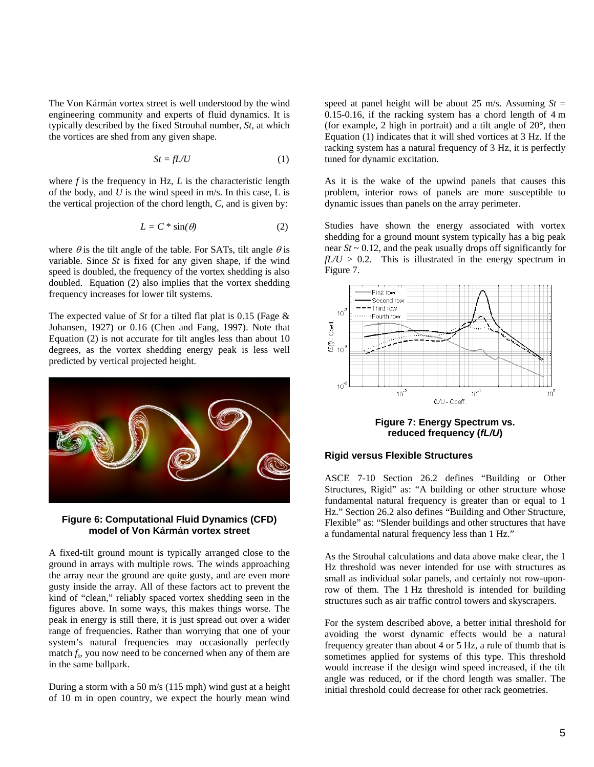The Von Kármán vortex street is well understood by the wind engineering community and experts of fluid dynamics. It is typically described by the fixed Strouhal number, *St,* at which the vortices are shed from any given shape.

$$
St = fLU \tag{1}
$$

where  $f$  is the frequency in Hz,  $L$  is the characteristic length of the body, and *U* is the wind speed in m/s. In this case, L is the vertical projection of the chord length, *C*, and is given by:

$$
L = C * sin(\theta)
$$
 (2)

where  $\theta$  is the tilt angle of the table. For SATs, tilt angle  $\theta$  is variable. Since *St* is fixed for any given shape, if the wind speed is doubled, the frequency of the vortex shedding is also doubled. Equation (2) also implies that the vortex shedding frequency increases for lower tilt systems.

The expected value of *St* for a tilted flat plat is 0.15 (Fage & Johansen, 1927) or 0.16 (Chen and Fang, 1997). Note that Equation (2) is not accurate for tilt angles less than about 10 degrees, as the vortex shedding energy peak is less well predicted by vertical projected height.



#### **Figure 6: Computational Fluid Dynamics (CFD) model of Von Kármán vortex street**

A fixed-tilt ground mount is typically arranged close to the ground in arrays with multiple rows. The winds approaching the array near the ground are quite gusty, and are even more gusty inside the array. All of these factors act to prevent the kind of "clean," reliably spaced vortex shedding seen in the figures above. In some ways, this makes things worse. The peak in energy is still there, it is just spread out over a wider range of frequencies. Rather than worrying that one of your system's natural frequencies may occasionally perfectly match  $f_s$ , you now need to be concerned when any of them are in the same ballpark.

During a storm with a 50 m/s (115 mph) wind gust at a height of 10 m in open country, we expect the hourly mean wind speed at panel height will be about 25 m/s. Assuming  $St =$ 0.15-0.16, if the racking system has a chord length of 4 m (for example, 2 high in portrait) and a tilt angle of  $20^{\circ}$ , then Equation (1) indicates that it will shed vortices at 3 Hz. If the racking system has a natural frequency of 3 Hz, it is perfectly tuned for dynamic excitation.

As it is the wake of the upwind panels that causes this problem, interior rows of panels are more susceptible to dynamic issues than panels on the array perimeter.

Studies have shown the energy associated with vortex shedding for a ground mount system typically has a big peak near  $St \sim 0.12$ , and the peak usually drops off significantly for  $fL/U > 0.2$ . This is illustrated in the energy spectrum in Figure 7.



**Figure 7: Energy Spectrum vs. reduced frequency (***fL/U***)**

#### **Rigid versus Flexible Structures**

ASCE 7-10 Section 26.2 defines "Building or Other Structures, Rigid" as: "A building or other structure whose fundamental natural frequency is greater than or equal to 1 Hz." Section 26.2 also defines "Building and Other Structure, Flexible" as: "Slender buildings and other structures that have a fundamental natural frequency less than 1 Hz."

As the Strouhal calculations and data above make clear, the 1 Hz threshold was never intended for use with structures as small as individual solar panels, and certainly not row-uponrow of them. The 1 Hz threshold is intended for building structures such as air traffic control towers and skyscrapers.

For the system described above, a better initial threshold for avoiding the worst dynamic effects would be a natural frequency greater than about 4 or 5 Hz, a rule of thumb that is sometimes applied for systems of this type. This threshold would increase if the design wind speed increased, if the tilt angle was reduced, or if the chord length was smaller. The initial threshold could decrease for other rack geometries.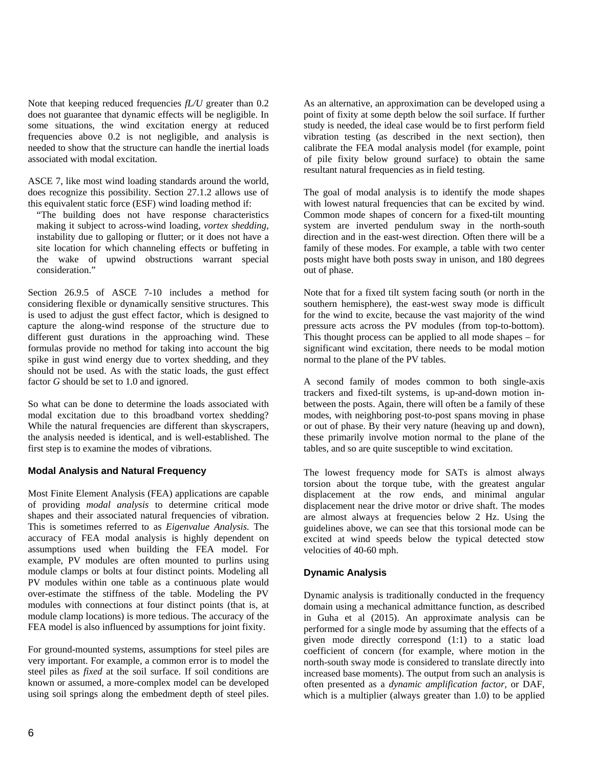Note that keeping reduced frequencies *fL/U* greater than 0.2 does not guarantee that dynamic effects will be negligible. In some situations, the wind excitation energy at reduced frequencies above 0.2 is not negligible, and analysis is needed to show that the structure can handle the inertial loads associated with modal excitation.

ASCE 7, like most wind loading standards around the world, does recognize this possibility. Section 27.1.2 allows use of this equivalent static force (ESF) wind loading method if:

"The building does not have response characteristics making it subject to across-wind loading, *vortex shedding,* instability due to galloping or flutter; or it does not have a site location for which channeling effects or buffeting in the wake of upwind obstructions warrant special consideration."

Section 26.9.5 of ASCE 7-10 includes a method for considering flexible or dynamically sensitive structures. This is used to adjust the gust effect factor, which is designed to capture the along-wind response of the structure due to different gust durations in the approaching wind. These formulas provide no method for taking into account the big spike in gust wind energy due to vortex shedding, and they should not be used. As with the static loads, the gust effect factor *G* should be set to 1.0 and ignored.

So what can be done to determine the loads associated with modal excitation due to this broadband vortex shedding? While the natural frequencies are different than skyscrapers, the analysis needed is identical, and is well-established. The first step is to examine the modes of vibrations.

## **Modal Analysis and Natural Frequency**

Most Finite Element Analysis (FEA) applications are capable of providing *modal analysis* to determine critical mode shapes and their associated natural frequencies of vibration. This is sometimes referred to as *Eigenvalue Analysis.* The accuracy of FEA modal analysis is highly dependent on assumptions used when building the FEA model. For example, PV modules are often mounted to purlins using module clamps or bolts at four distinct points. Modeling all PV modules within one table as a continuous plate would over-estimate the stiffness of the table. Modeling the PV modules with connections at four distinct points (that is, at module clamp locations) is more tedious. The accuracy of the FEA model is also influenced by assumptions for joint fixity.

For ground-mounted systems, assumptions for steel piles are very important. For example, a common error is to model the steel piles as *fixed* at the soil surface. If soil conditions are known or assumed, a more-complex model can be developed using soil springs along the embedment depth of steel piles.

As an alternative, an approximation can be developed using a point of fixity at some depth below the soil surface. If further study is needed, the ideal case would be to first perform field vibration testing (as described in the next section), then calibrate the FEA modal analysis model (for example, point of pile fixity below ground surface) to obtain the same resultant natural frequencies as in field testing.

The goal of modal analysis is to identify the mode shapes with lowest natural frequencies that can be excited by wind. Common mode shapes of concern for a fixed-tilt mounting system are inverted pendulum sway in the north-south direction and in the east-west direction. Often there will be a family of these modes. For example, a table with two center posts might have both posts sway in unison, and 180 degrees out of phase.

Note that for a fixed tilt system facing south (or north in the southern hemisphere), the east-west sway mode is difficult for the wind to excite, because the vast majority of the wind pressure acts across the PV modules (from top-to-bottom). This thought process can be applied to all mode shapes – for significant wind excitation, there needs to be modal motion normal to the plane of the PV tables.

A second family of modes common to both single-axis trackers and fixed-tilt systems, is up-and-down motion inbetween the posts. Again, there will often be a family of these modes, with neighboring post-to-post spans moving in phase or out of phase. By their very nature (heaving up and down), these primarily involve motion normal to the plane of the tables, and so are quite susceptible to wind excitation.

The lowest frequency mode for SATs is almost always torsion about the torque tube, with the greatest angular displacement at the row ends, and minimal angular displacement near the drive motor or drive shaft. The modes are almost always at frequencies below 2 Hz. Using the guidelines above, we can see that this torsional mode can be excited at wind speeds below the typical detected stow velocities of 40-60 mph.

# **Dynamic Analysis**

Dynamic analysis is traditionally conducted in the frequency domain using a mechanical admittance function, as described in Guha et al (2015). An approximate analysis can be performed for a single mode by assuming that the effects of a given mode directly correspond (1:1) to a static load coefficient of concern (for example, where motion in the north-south sway mode is considered to translate directly into increased base moments). The output from such an analysis is often presented as a *dynamic amplification factor,* or DAF, which is a multiplier (always greater than 1.0) to be applied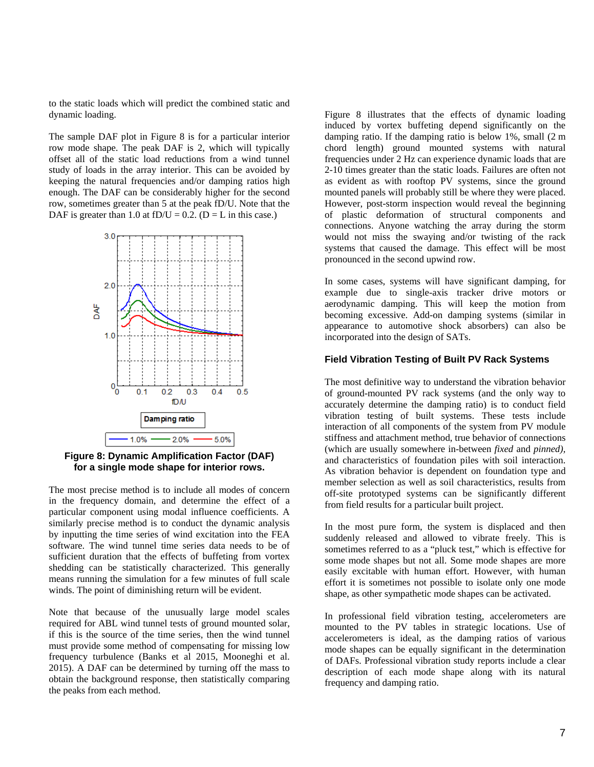to the static loads which will predict the combined static and dynamic loading.

The sample DAF plot in Figure 8 is for a particular interior row mode shape. The peak DAF is 2, which will typically offset all of the static load reductions from a wind tunnel study of loads in the array interior. This can be avoided by keeping the natural frequencies and/or damping ratios high enough. The DAF can be considerably higher for the second row, sometimes greater than 5 at the peak fD/U. Note that the DAF is greater than 1.0 at fD/U = 0.2. (D = L in this case.)



**Figure 8: Dynamic Amplification Factor (DAF) for a single mode shape for interior rows.** 

The most precise method is to include all modes of concern in the frequency domain, and determine the effect of a particular component using modal influence coefficients. A similarly precise method is to conduct the dynamic analysis by inputting the time series of wind excitation into the FEA software. The wind tunnel time series data needs to be of sufficient duration that the effects of buffeting from vortex shedding can be statistically characterized. This generally means running the simulation for a few minutes of full scale winds. The point of diminishing return will be evident.

Note that because of the unusually large model scales required for ABL wind tunnel tests of ground mounted solar, if this is the source of the time series, then the wind tunnel must provide some method of compensating for missing low frequency turbulence (Banks et al 2015, Mooneghi et al. 2015). A DAF can be determined by turning off the mass to obtain the background response, then statistically comparing the peaks from each method.

Figure 8 illustrates that the effects of dynamic loading induced by vortex buffeting depend significantly on the damping ratio. If the damping ratio is below 1%, small (2 m chord length) ground mounted systems with natural frequencies under 2 Hz can experience dynamic loads that are 2-10 times greater than the static loads. Failures are often not as evident as with rooftop PV systems, since the ground mounted panels will probably still be where they were placed. However, post-storm inspection would reveal the beginning of plastic deformation of structural components and connections. Anyone watching the array during the storm would not miss the swaying and/or twisting of the rack systems that caused the damage. This effect will be most pronounced in the second upwind row.

In some cases, systems will have significant damping, for example due to single-axis tracker drive motors or aerodynamic damping. This will keep the motion from becoming excessive. Add-on damping systems (similar in appearance to automotive shock absorbers) can also be incorporated into the design of SATs.

#### **Field Vibration Testing of Built PV Rack Systems**

The most definitive way to understand the vibration behavior of ground-mounted PV rack systems (and the only way to accurately determine the damping ratio) is to conduct field vibration testing of built systems. These tests include interaction of all components of the system from PV module stiffness and attachment method, true behavior of connections (which are usually somewhere in-between *fixed* and *pinned),* and characteristics of foundation piles with soil interaction. As vibration behavior is dependent on foundation type and member selection as well as soil characteristics, results from off-site prototyped systems can be significantly different from field results for a particular built project.

In the most pure form, the system is displaced and then suddenly released and allowed to vibrate freely. This is sometimes referred to as a "pluck test," which is effective for some mode shapes but not all. Some mode shapes are more easily excitable with human effort. However, with human effort it is sometimes not possible to isolate only one mode shape, as other sympathetic mode shapes can be activated.

In professional field vibration testing, accelerometers are mounted to the PV tables in strategic locations. Use of accelerometers is ideal, as the damping ratios of various mode shapes can be equally significant in the determination of DAFs. Professional vibration study reports include a clear description of each mode shape along with its natural frequency and damping ratio.